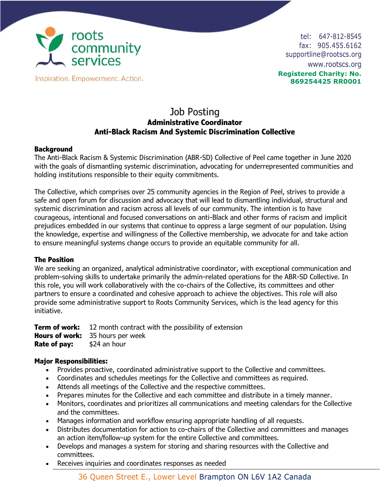

Inspiration. Empowerment. Action.

tel: 647-812-8545 fax: 905.455.6162 supportline@rootscs.org www.rootscs.org **Registered Charity: No. 869254425 RR0001**

# Job Posting **Administrative Coordinator Anti-Black Racism And Systemic Discrimination Collective**

### **Background**

The Anti-Black Racism & Systemic Discrimination (ABR-SD) Collective of Peel came together in June 2020 with the goals of dismantling systemic discrimination, advocating for underrepresented communities and holding institutions responsible to their equity commitments.

The Collective, which comprises over 25 community agencies in the Region of Peel, strives to provide a safe and open forum for discussion and advocacy that will lead to dismantling individual, structural and systemic discrimination and racism across all levels of our community. The intention is to have courageous, intentional and focused conversations on anti-Black and other forms of racism and implicit prejudices embedded in our systems that continue to oppress a large segment of our population. Using the knowledge, expertise and willingness of the Collective membership, we advocate for and take action to ensure meaningful systems change occurs to provide an equitable community for all.

### **The Position**

We are seeking an organized, analytical administrative coordinator, with exceptional communication and problem-solving skills to undertake primarily the admin-related operations for the ABR-SD Collective. In this role, you will work collaboratively with the co-chairs of the Collective, its committees and other partners to ensure a coordinated and cohesive approach to achieve the objectives. This role will also provide some administrative support to Roots Community Services, which is the lead agency for this initiative.

**Term of work:** 12 month contract with the possibility of extension **Hours of work:** 35 hours per week **Rate of pay:** \$24 an hour

### **Major Responsibilities:**

- Provides proactive, coordinated administrative support to the Collective and committees.
- Coordinates and schedules meetings for the Collective and committees as required.
- Attends all meetings of the Collective and the respective committees.
- Prepares minutes for the Collective and each committee and distribute in a timely manner.
- Monitors, coordinates and prioritizes all communications and meeting calendars for the Collective and the committees.
- Manages information and workflow ensuring appropriate handling of all requests.
- Distributes documentation for action to co-chairs of the Collective and committees and manages an action item/follow-up system for the entire Collective and committees.
- Develops and manages a system for storing and sharing resources with the Collective and committees.
- Receives inquiries and coordinates responses as needed